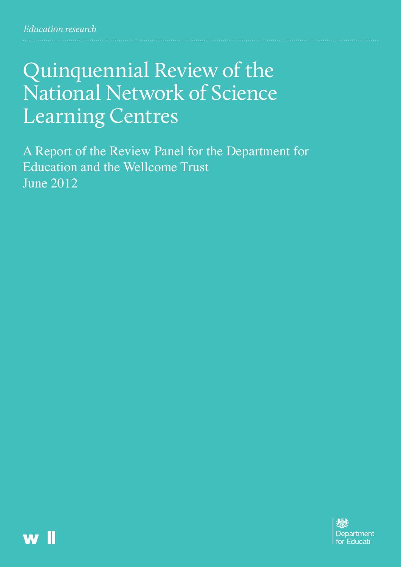# Quinquennial Review of the National Network of Science Learning Centres

A Report of the Review Panel for the Department for Education and the Wellcome Trust June 2012



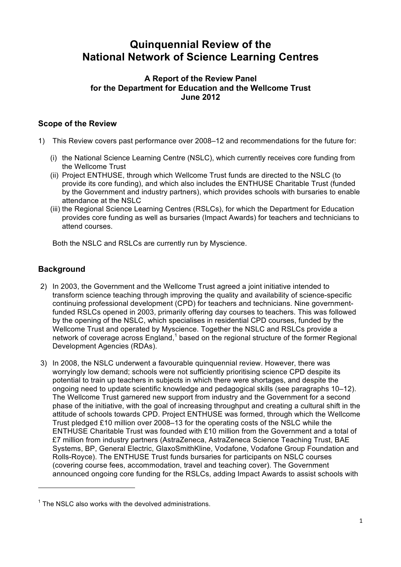# **Quinquennial Review of the National Network of Science Learning Centres**

# **A Report of the Review Panel for the Department for Education and the Wellcome Trust June 2012**

# **Scope of the Review**

- 1) This Review covers past performance over 2008–12 and recommendations for the future for:
	- (i) the National Science Learning Centre (NSLC), which currently receives core funding from the Wellcome Trust
	- (ii) Project ENTHUSE, through which Wellcome Trust funds are directed to the NSLC (to by the Government and industry partners), which provides schools with bursaries to enable provide its core funding), and which also includes the ENTHUSE Charitable Trust (funded attendance at the NSLC
	- (iii) the Regional Science Learning Centres (RSLCs), for which the Department for Education provides core funding as well as bursaries (Impact Awards) for teachers and technicians to attend courses.

Both the NSLC and RSLCs are currently run by Myscience.

# **Background**

 $\overline{a}$ 

- transform science teaching through improving the quality and availability of science-specific continuing professional development (CPD) for teachers and technicians. Nine government- funded RSLCs opened in 2003, primarily offering day courses to teachers. This was followed by the opening of the NSLC, which specialises in residential CPD courses, funded by the Wellcome Trust and operated by Myscience. Together the NSLC and RSLCs provide a network of coverage across England,<sup>1</sup> based on the regional structure of the former Regional Development Agencies (RDAs). 2) In 2003, the Government and the Wellcome Trust agreed a joint initiative intended to
- worryingly low demand; schools were not sufficiently prioritising science CPD despite its potential to train up teachers in subjects in which there were shortages, and despite the ongoing need to update scientific knowledge and pedagogical skills (see paragraphs 10–12). The Wellcome Trust garnered new support from industry and the Government for a second phase of the initiative, with the goal of increasing throughput and creating a cultural shift in the attitude of schools towards CPD. Project ENTHUSE was formed, through which the Wellcome Trust pledged £10 million over 2008–13 for the operating costs of the NSLC while the ENTHUSE Charitable Trust was founded with £10 million from the Government and a total of £7 million from industry partners (AstraZeneca, AstraZeneca Science Teaching Trust, BAE Systems, BP, General Electric, GlaxoSmithKline, Vodafone, Vodafone Group Foundation and Rolls-Royce). The ENTHUSE Trust funds bursaries for participants on NSLC courses (covering course fees, accommodation, travel and teaching cover). The Government announced ongoing core funding for the RSLCs, adding Impact Awards to assist schools with 3) In 2008, the NSLC underwent a favourable quinquennial review. However, there was

 $1$  The NSLC also works with the devolved administrations.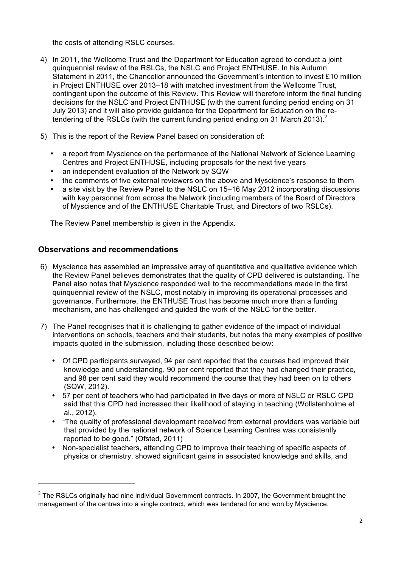the costs of attending RSLC courses.

- quinquennial review of the RSLCs, the NSLC and Project ENTHUSE. In his Autumn Statement in 2011, the Chancellor announced the Government's intention to invest £10 million in Project ENTHUSE over 2013–18 with matched investment from the Wellcome Trust, contingent upon the outcome of this Review. This Review will therefore inform the final funding decisions for the NSLC and Project ENTHUSE (with the current funding period ending on 31 July 2013) and it will also provide guidance for the Department for Education on the retendering of the RSLCs (with the current funding period ending on 31 March 2013). $^2$ 4) In 2011, the Wellcome Trust and the Department for Education agreed to conduct a joint
- 5) This is the report of the Review Panel based on consideration of:
	- a report from Myscience on the performance of the National Network of Science Learning Centres and Project ENTHUSE, including proposals for the next five years
	- an independent evaluation of the Network by SQW
	- the comments of five external reviewers on the above and Myscience's response to them
	- a site visit by the Review Panel to the NSLC on 15–16 May 2012 incorporating discussions with key personnel from across the Network (including members of the Board of Directors of Myscience and of the ENTHUSE Charitable Trust, and Directors of two RSLCs).

The Review Panel membership is given in the Appendix.

# **Observations and recommendations**

 $\overline{a}$ 

- 6) Myscience has assembled an impressive array of quantitative and qualitative evidence which the Review Panel believes demonstrates that the quality of CPD delivered is outstanding. The Panel also notes that Myscience responded well to the recommendations made in the first quinquennial review of the NSLC, most notably in improving its operational processes and governance. Furthermore, the ENTHUSE Trust has become much more than a funding mechanism, and has challenged and guided the work of the NSLC for the better.
- 7) The Panel recognises that it is challenging to gather evidence of the impact of individual interventions on schools, teachers and their students, but notes the many examples of positive impacts quoted in the submission, including those described below:
	- Of CPD participants surveyed, 94 per cent reported that the courses had improved their knowledge and understanding, 90 per cent reported that they had changed their practice, and 98 per cent said they would recommend the course that they had been on to others (SQW, 2012).
	- 57 per cent of teachers who had participated in five days or more of NSLC or RSLC CPD said that this CPD had increased their likelihood of staying in teaching (Wollstenholme et al., 2012).
	- "The quality of professional development received from external providers was variable but that provided by the national network of Science Learning Centres was consistently reported to be good." (Ofsted, 2011)
	- Non-specialist teachers, attending CPD to improve their teaching of specific aspects of physics or chemistry, showed significant gains in associated knowledge and skills, and

 $^{2}$  The RSLCs originally had nine individual Government contracts. In 2007, the Government brought the management of the centres into a single contract, which was tendered for and won by Myscience.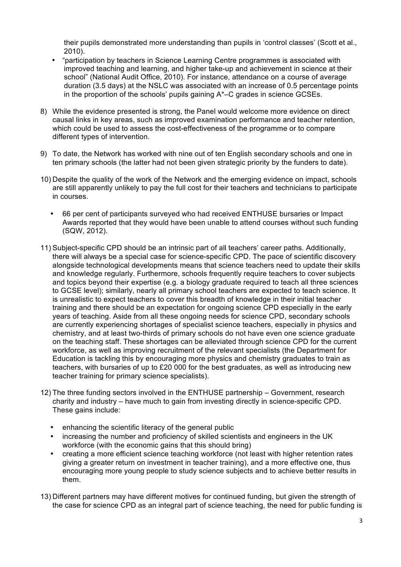their pupils demonstrated more understanding than pupils in 'control classes' (Scott et al., 2010).

- "participation by teachers in Science Learning Centre programmes is associated with improved teaching and learning, and higher take-up and achievement in science at their school" (National Audit Office, 2010). For instance, attendance on a course of average duration (3.5 days) at the NSLC was associated with an increase of 0.5 percentage points in the proportion of the schools' pupils gaining A\*–C grades in science GCSEs.
- 8) While the evidence presented is strong, the Panel would welcome more evidence on direct causal links in key areas, such as improved examination performance and teacher retention, which could be used to assess the cost-effectiveness of the programme or to compare different types of intervention.
- 9) To date, the Network has worked with nine out of ten English secondary schools and one in ten primary schools (the latter had not been given strategic priority by the funders to date).
- 10) Despite the quality of the work of the Network and the emerging evidence on impact, schools are still apparently unlikely to pay the full cost for their teachers and technicians to participate in courses.
	- Awards reported that they would have been unable to attend courses without such funding 66 per cent of participants surveyed who had received ENTHUSE bursaries or Impact (SQW, 2012).
- 11) Subject-specific CPD should be an intrinsic part of all teachers' career paths. Additionally, there will always be a special case for science-specific CPD. The pace of scientific discovery alongside technological developments means that science teachers need to update their skills and knowledge regularly. Furthermore, schools frequently require teachers to cover subjects to GCSE level); similarly, nearly all primary school teachers are expected to teach science. It is unrealistic to expect teachers to cover this breadth of knowledge in their initial teacher years of teaching. Aside from all these ongoing needs for science CPD, secondary schools are currently experiencing shortages of specialist science teachers, especially in physics and chemistry, and at least two-thirds of primary schools do not have even one science graduate on the teaching staff. These shortages can be alleviated through science CPD for the current workforce, as well as improving recruitment of the relevant specialists (the Department for Education is tackling this by encouraging more physics and chemistry graduates to train as teachers, with bursaries of up to £20 000 for the best graduates, as well as introducing new and topics beyond their expertise (e.g. a biology graduate required to teach all three sciences training and there should be an expectation for ongoing science CPD especially in the early teacher training for primary science specialists).
- 12) The three funding sectors involved in the ENTHUSE partnership Government, research charity and industry – have much to gain from investing directly in science-specific CPD. These gains include:
	- enhancing the scientific literacy of the general public
	- increasing the number and proficiency of skilled scientists and engineers in the UK workforce (with the economic gains that this should bring)
	- creating a more efficient science teaching workforce (not least with higher retention rates giving a greater return on investment in teacher training), and a more effective one, thus encouraging more young people to study science subjects and to achieve better results in them.
- 13) Different partners may have different motives for continued funding, but given the strength of the case for science CPD as an integral part of science teaching, the need for public funding is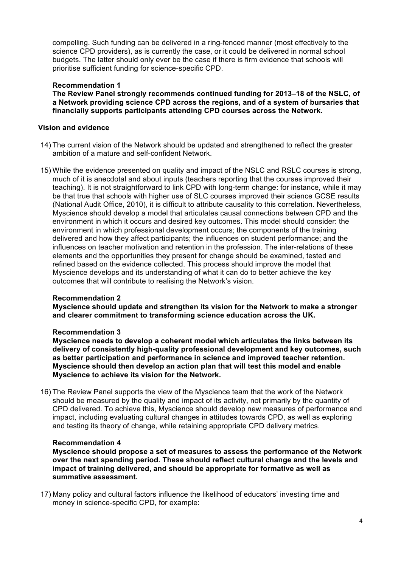compelling. Such funding can be delivered in a ring-fenced manner (most effectively to the science CPD providers), as is currently the case, or it could be delivered in normal school budgets. The latter should only ever be the case if there is firm evidence that schools will prioritise sufficient funding for science-specific CPD.

### **Recommendation 1**

 **The Review Panel strongly recommends continued funding for 2013–18 of the NSLC, of a Network providing science CPD across the regions, and of a system of bursaries that financially supports participants attending CPD courses across the Network.** 

#### **Vision and evidence**

- 14) The current vision of the Network should be updated and strengthened to reflect the greater ambition of a mature and self-confident Network.
- 15) While the evidence presented on quality and impact of the NSLC and RSLC courses is strong, much of it is anecdotal and about inputs (teachers reporting that the courses improved their be that true that schools with higher use of SLC courses improved their science GCSE results (National Audit Office, 2010), it is difficult to attribute causality to this correlation. Nevertheless, Myscience should develop a model that articulates causal connections between CPD and the environment in which it occurs and desired key outcomes. This model should consider: the environment in which professional development occurs; the components of the training delivered and how they affect participants; the influences on student performance; and the influences on teacher motivation and retention in the profession. The inter-relations of these elements and the opportunities they present for change should be examined, tested and refined based on the evidence collected. This process should improve the model that Myscience develops and its understanding of what it can do to better achieve the key outcomes that will contribute to realising the Network's vision. teaching). It is not straightforward to link CPD with long-term change: for instance, while it may

#### **Recommendation 2**

 **Myscience should update and strengthen its vision for the Network to make a stronger and clearer commitment to transforming science education across the UK.** 

#### **Recommendation 3**

 **Myscience needs to develop a coherent model which articulates the links between its delivery of consistently high-quality professional development and key outcomes, such as better participation and performance in science and improved teacher retention. Myscience should then develop an action plan that will test this model and enable Myscience to achieve its vision for the Network.** 

 16) The Review Panel supports the view of the Myscience team that the work of the Network should be measured by the quality and impact of its activity, not primarily by the quantity of CPD delivered. To achieve this, Myscience should develop new measures of performance and impact, including evaluating cultural changes in attitudes towards CPD, as well as exploring and testing its theory of change, while retaining appropriate CPD delivery metrics.

#### **Recommendation 4**

 **Myscience should propose a set of measures to assess the performance of the Network over the next spending period. These should reflect cultural change and the levels and impact of training delivered, and should be appropriate for formative as well as summative assessment.** 

 17) Many policy and cultural factors influence the likelihood of educators' investing time and money in science-specific CPD, for example: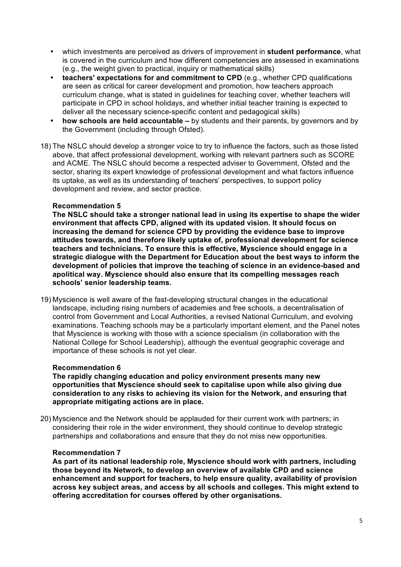- • which investments are perceived as drivers of improvement in **student performance**, what is covered in the curriculum and how different competencies are assessed in examinations (e.g., the weight given to practical, inquiry or mathematical skills)
- • **teachers' expectations for and commitment to CPD** (e.g., whether CPD qualifications are seen as critical for career development and promotion, how teachers approach curriculum change, what is stated in guidelines for teaching cover, whether teachers will participate in CPD in school holidays, and whether initial teacher training is expected to deliver all the necessary science-specific content and pedagogical skills)
- • **how schools are held accountable** by students and their parents, by governors and by the Government (including through Ofsted).
- 18) The NSLC should develop a stronger voice to try to influence the factors, such as those listed above, that affect professional development, working with relevant partners such as SCORE and ACME. The NSLC should become a respected adviser to Government, Ofsted and the sector, sharing its expert knowledge of professional development and what factors influence its uptake, as well as its understanding of teachers' perspectives, to support policy development and review, and sector practice.

#### **Recommendation 5**

 **The NSLC should take a stronger national lead in using its expertise to shape the wider environment that affects CPD, aligned with its updated vision. It should focus on attitudes towards, and therefore likely uptake of, professional development for science teachers and technicians. To ensure this is effective, Myscience should engage in a strategic dialogue with the Department for Education about the best ways to inform the development of policies that improve the teaching of science in an evidence-based and apolitical way. Myscience should also ensure that its compelling messages reach schools' senior leadership teams. increasing the demand for science CPD by providing the evidence base to improve** 

 19) Myscience is well aware of the fast-developing structural changes in the educational landscape, including rising numbers of academies and free schools, a decentralisation of control from Government and Local Authorities, a revised National Curriculum, and evolving examinations. Teaching schools may be a particularly important element, and the Panel notes National College for School Leadership), although the eventual geographic coverage and importance of these schools is not yet clear. that Myscience is working with those with a science specialism (in collaboration with the

#### **Recommendation 6**

 **The rapidly changing education and policy environment presents many new opportunities that Myscience should seek to capitalise upon while also giving due consideration to any risks to achieving its vision for the Network, and ensuring that appropriate mitigating actions are in place.** 

 20) Myscience and the Network should be applauded for their current work with partners; in considering their role in the wider environment, they should continue to develop strategic partnerships and collaborations and ensure that they do not miss new opportunities.

#### **Recommendation 7**

 **As part of its national leadership role, Myscience should work with partners, including those beyond its Network, to develop an overview of available CPD and science enhancement and support for teachers, to help ensure quality, availability of provision across key subject areas, and access by all schools and colleges. This might extend to offering accreditation for courses offered by other organisations.**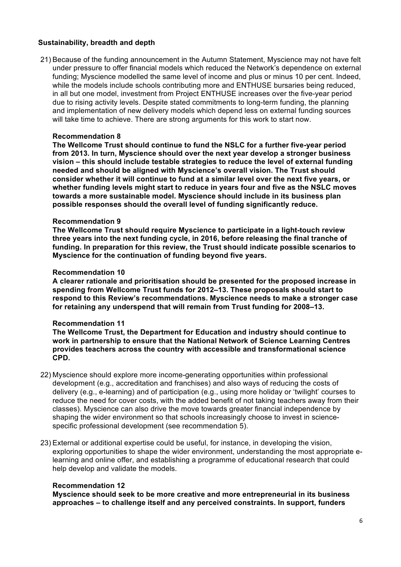#### **Sustainability, breadth and depth**

 21) Because of the funding announcement in the Autumn Statement, Myscience may not have felt under pressure to offer financial models which reduced the Network's dependence on external funding; Myscience modelled the same level of income and plus or minus 10 per cent. Indeed, while the models include schools contributing more and ENTHUSE bursaries being reduced, in all but one model, investment from Project ENTHUSE increases over the five-year period due to rising activity levels. Despite stated commitments to long-term funding, the planning and implementation of new delivery models which depend less on external funding sources will take time to achieve. There are strong arguments for this work to start now.

#### **Recommendation 8**

 **The Wellcome Trust should continue to fund the NSLC for a further five-year period from 2013. In turn, Myscience should over the next year develop a stronger business vision – this should include testable strategies to reduce the level of external funding needed and should be aligned with Myscience's overall vision. The Trust should consider whether it will continue to fund at a similar level over the next five years, or whether funding levels might start to reduce in years four and five as the NSLC moves towards a more sustainable model. Myscience should include in its business plan possible responses should the overall level of funding significantly reduce.** 

#### **Recommendation 9**

 **The Wellcome Trust should require Myscience to participate in a light-touch review three years into the next funding cycle, in 2016, before releasing the final tranche of funding. In preparation for this review, the Trust should indicate possible scenarios to Myscience for the continuation of funding beyond five years.** 

#### **Recommendation 10**

 **A clearer rationale and prioritisation should be presented for the proposed increase in spending from Wellcome Trust funds for 2012–13. These proposals should start to respond to this Review's recommendations. Myscience needs to make a stronger case for retaining any underspend that will remain from Trust funding for 2008–13.** 

#### **Recommendation 11**

 **The Wellcome Trust, the Department for Education and industry should continue to work in partnership to ensure that the National Network of Science Learning Centres provides teachers across the country with accessible and transformational science CPD.** 

- 22) Myscience should explore more income-generating opportunities within professional development (e.g., accreditation and franchises) and also ways of reducing the costs of delivery (e.g., e-learning) and of participation (e.g., using more holiday or 'twilight' courses to reduce the need for cover costs, with the added benefit of not taking teachers away from their classes). Myscience can also drive the move towards greater financial independence by shaping the wider environment so that schools increasingly choose to invest in science-specific professional development (see recommendation 5).
- 23) External or additional expertise could be useful, for instance, in developing the vision, learning and online offer, and establishing a programme of educational research that could exploring opportunities to shape the wider environment, understanding the most appropriate ehelp develop and validate the models.

#### **Recommendation 12**

 **Myscience should seek to be more creative and more entrepreneurial in its business approaches – to challenge itself and any perceived constraints. In support, funders**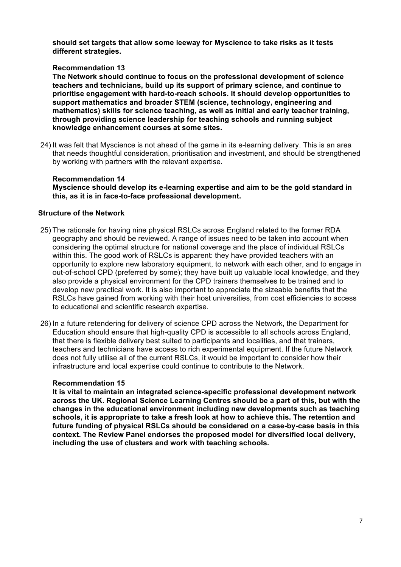**should set targets that allow some leeway for Myscience to take risks as it tests different strategies.** 

#### **Recommendation 13**

 **The Network should continue to focus on the professional development of science teachers and technicians, build up its support of primary science, and continue to prioritise engagement with hard-to-reach schools. It should develop opportunities to support mathematics and broader STEM (science, technology, engineering and mathematics) skills for science teaching, as well as initial and early teacher training, through providing science leadership for teaching schools and running subject knowledge enhancement courses at some sites.** 

 24) It was felt that Myscience is not ahead of the game in its e-learning delivery. This is an area that needs thoughtful consideration, prioritisation and investment, and should be strengthened by working with partners with the relevant expertise.

#### **Recommendation 14**

 **Myscience should develop its e-learning expertise and aim to be the gold standard in this, as it is in face-to-face professional development.** 

#### **Structure of the Network**

- geography and should be reviewed. A range of issues need to be taken into account when considering the optimal structure for national coverage and the place of individual RSLCs opportunity to explore new laboratory equipment, to network with each other, and to engage in out-of-school CPD (preferred by some); they have built up valuable local knowledge, and they also provide a physical environment for the CPD trainers themselves to be trained and to develop new practical work. It is also important to appreciate the sizeable benefits that the RSLCs have gained from working with their host universities, from cost efficiencies to access 25) The rationale for having nine physical RSLCs across England related to the former RDA within this. The good work of RSLCs is apparent: they have provided teachers with an to educational and scientific research expertise.
- Education should ensure that high-quality CPD is accessible to all schools across England, that there is flexible delivery best suited to participants and localities, and that trainers, does not fully utilise all of the current RSLCs, it would be important to consider how their infrastructure and local expertise could continue to contribute to the Network. 26) In a future retendering for delivery of science CPD across the Network, the Department for teachers and technicians have access to rich experimental equipment. If the future Network

#### **Recommendation 15**

 **across the UK. Regional Science Learning Centres should be a part of this, but with the changes in the educational environment including new developments such as teaching schools, it is appropriate to take a fresh look at how to achieve this. The retention and future funding of physical RSLCs should be considered on a case-by-case basis in this context. The Review Panel endorses the proposed model for diversified local delivery, It is vital to maintain an integrated science-specific professional development network including the use of clusters and work with teaching schools.**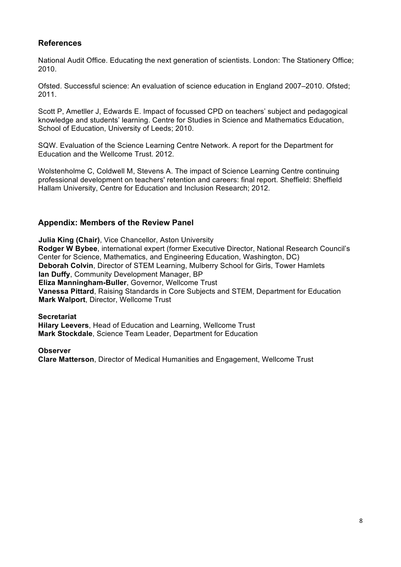# **References**

 National Audit Office. Educating the next generation of scientists. London: The Stationery Office; 2010.

 Ofsted. Successful science: An evaluation of science education in England 2007–2010. Ofsted; 2011.

 Scott P, Ametller J, Edwards E. Impact of focussed CPD on teachers' subject and pedagogical knowledge and students' learning. Centre for Studies in Science and Mathematics Education, School of Education, University of Leeds; 2010.

 SQW. Evaluation of the Science Learning Centre Network. A report for the Department for Education and the Wellcome Trust. 2012.

 Wolstenholme C, Coldwell M, Stevens A. The impact of Science Learning Centre continuing professional development on teachers' retention and careers: final report. Sheffield: Sheffield Hallam University, Centre for Education and Inclusion Research; 2012.

# **Appendix: Members of the Review Panel**

 **Rodger W Bybee**, international expert (former Executive Director, National Research Council's Center for Science, Mathematics, and Engineering Education, Washington, DC) **Deborah Colvin**, Director of STEM Learning, Mulberry School for Girls, Tower Hamlets **Vanessa Pittard**, Raising Standards in Core Subjects and STEM, Department for Education **Julia King (Chair)**, Vice Chancellor, Aston University **Ian Duffy**, Community Development Manager, BP **Eliza Manningham-Buller**, Governor, Wellcome Trust **Mark Walport**, Director, Wellcome Trust

**Secretariat** 

**Hilary Leevers**, Head of Education and Learning, Wellcome Trust **Mark Stockdale**, Science Team Leader, Department for Education

 **Clare Matterson**, Director of Medical Humanities and Engagement, Wellcome Trust **Observer**